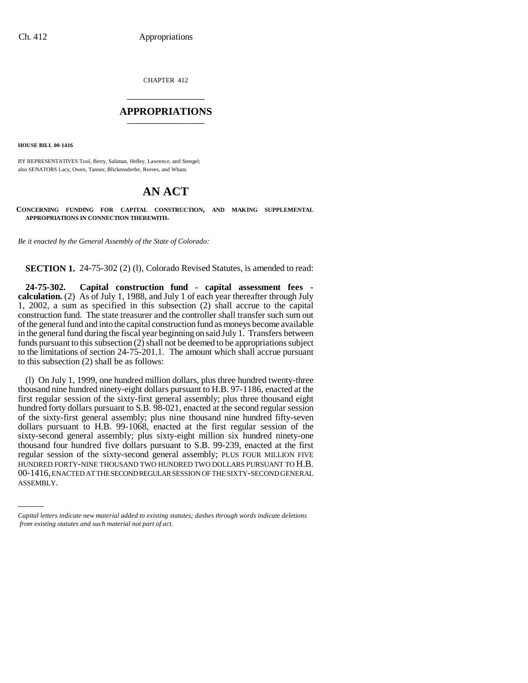CHAPTER 412 \_\_\_\_\_\_\_\_\_\_\_\_\_\_\_

#### **APPROPRIATIONS** \_\_\_\_\_\_\_\_\_\_\_\_\_\_\_

**HOUSE BILL 00-1416**

BY REPRESENTATIVES Tool, Berry, Saliman, Hefley, Lawrence, and Stengel; also SENATORS Lacy, Owen, Tanner, Blickensderfer, Reeves, and Wham.

# **AN ACT**

**CONCERNING FUNDING FOR CAPITAL CONSTRUCTION, AND MAKING SUPPLEMENTAL APPROPRIATIONS IN CONNECTION THEREWITH.**

*Be it enacted by the General Assembly of the State of Colorado:*

**SECTION 1.** 24-75-302 (2) (1), Colorado Revised Statutes, is amended to read:

**24-75-302. Capital construction fund - capital assessment fees calculation.** (2) As of July 1, 1988, and July 1 of each year thereafter through July 1, 2002, a sum as specified in this subsection (2) shall accrue to the capital construction fund. The state treasurer and the controller shall transfer such sum out of the general fund and into the capital construction fund as moneys become available in the general fund during the fiscal year beginning on said July 1. Transfers between funds pursuant to this subsection (2) shall not be deemed to be appropriations subject to the limitations of section 24-75-201.1. The amount which shall accrue pursuant to this subsection (2) shall be as follows:

thousand four hundred five dollars pursuant to S.B. 99-239, enacted at the first (l) On July 1, 1999, one hundred million dollars, plus three hundred twenty-three thousand nine hundred ninety-eight dollars pursuant to H.B. 97-1186, enacted at the first regular session of the sixty-first general assembly; plus three thousand eight hundred forty dollars pursuant to S.B. 98-021, enacted at the second regular session of the sixty-first general assembly; plus nine thousand nine hundred fifty-seven dollars pursuant to H.B. 99-1068, enacted at the first regular session of the sixty-second general assembly; plus sixty-eight million six hundred ninety-one regular session of the sixty-second general assembly; PLUS FOUR MILLION FIVE HUNDRED FORTY-NINE THOUSAND TWO HUNDRED TWO DOLLARS PURSUANT TO H.B. 00-1416, ENACTED AT THE SECOND REGULAR SESSION OF THE SIXTY-SECOND GENERAL ASSEMBLY.

*Capital letters indicate new material added to existing statutes; dashes through words indicate deletions from existing statutes and such material not part of act.*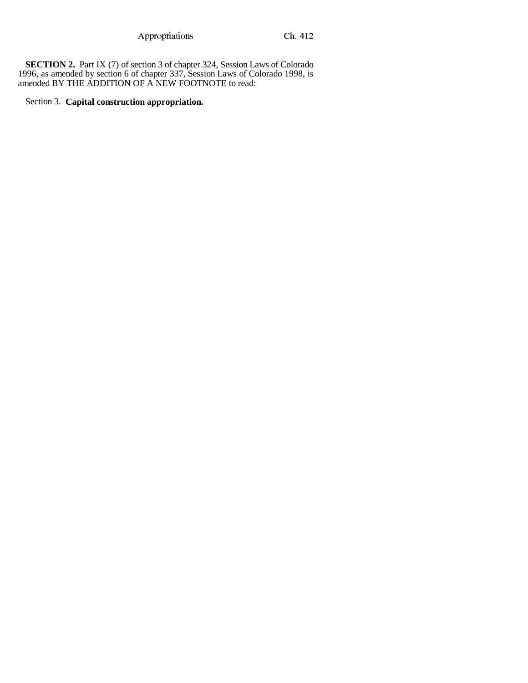**SECTION 2.** Part IX (7) of section 3 of chapter 324, Session Laws of Colorado 1996, as amended by section 6 of chapter 337, Session Laws of Colorado 1998, is amended BY THE ADDITION OF A NEW FOOTNOTE to read:

# Section 3. **Capital construction appropriation.**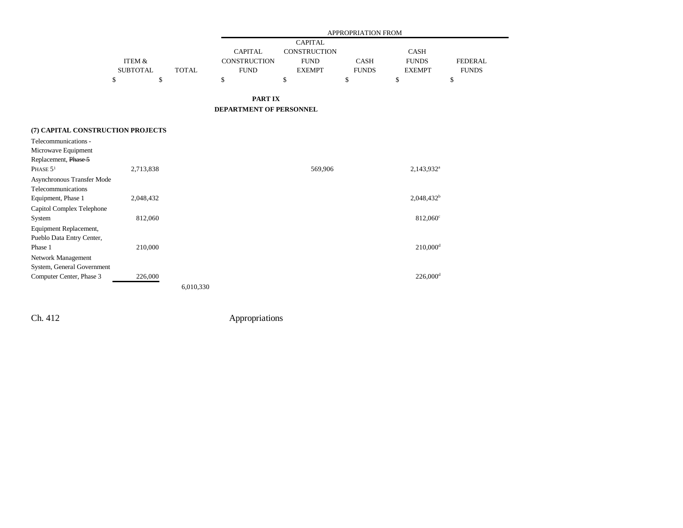|                                   |                 |              |                                |                | APPROPRIATION FROM |                        |                |
|-----------------------------------|-----------------|--------------|--------------------------------|----------------|--------------------|------------------------|----------------|
|                                   |                 |              |                                | <b>CAPITAL</b> |                    |                        |                |
|                                   |                 |              | <b>CAPITAL</b>                 | CONSTRUCTION   |                    | <b>CASH</b>            |                |
|                                   | ITEM &          |              | CONSTRUCTION                   | <b>FUND</b>    | <b>CASH</b>        | <b>FUNDS</b>           | <b>FEDERAL</b> |
|                                   | <b>SUBTOTAL</b> | <b>TOTAL</b> | <b>FUND</b>                    | <b>EXEMPT</b>  | <b>FUNDS</b>       | <b>EXEMPT</b>          | <b>FUNDS</b>   |
|                                   | \$              | \$           | \$                             | \$             | \$                 | \$                     | \$             |
|                                   |                 |              |                                |                |                    |                        |                |
|                                   |                 |              | <b>PARTIX</b>                  |                |                    |                        |                |
|                                   |                 |              | <b>DEPARTMENT OF PERSONNEL</b> |                |                    |                        |                |
| (7) CAPITAL CONSTRUCTION PROJECTS |                 |              |                                |                |                    |                        |                |
| Telecommunications -              |                 |              |                                |                |                    |                        |                |
| Microwave Equipment               |                 |              |                                |                |                    |                        |                |
| Replacement, Phase 5              |                 |              |                                |                |                    |                        |                |
| PHASE 5 <sup>1</sup>              | 2,713,838       |              |                                | 569,906        |                    | 2,143,932 <sup>a</sup> |                |
|                                   |                 |              |                                |                |                    |                        |                |
| Asynchronous Transfer Mode        |                 |              |                                |                |                    |                        |                |
| Telecommunications                |                 |              |                                |                |                    |                        |                |
| Equipment, Phase 1                | 2,048,432       |              |                                |                |                    | 2,048,432 <sup>b</sup> |                |
| Capitol Complex Telephone         |                 |              |                                |                |                    |                        |                |
| System                            | 812,060         |              |                                |                |                    | 812,060°               |                |
| Equipment Replacement,            |                 |              |                                |                |                    |                        |                |
| Pueblo Data Entry Center,         |                 |              |                                |                |                    |                        |                |
| Phase 1                           | 210,000         |              |                                |                |                    | $210,000$ <sup>d</sup> |                |
| Network Management                |                 |              |                                |                |                    |                        |                |
| System, General Government        |                 |              |                                |                |                    |                        |                |
| Computer Center, Phase 3          | 226,000         |              |                                |                |                    | $226,000$ <sup>d</sup> |                |
|                                   |                 | 6,010,330    |                                |                |                    |                        |                |

 $\overline{\phantom{0}}$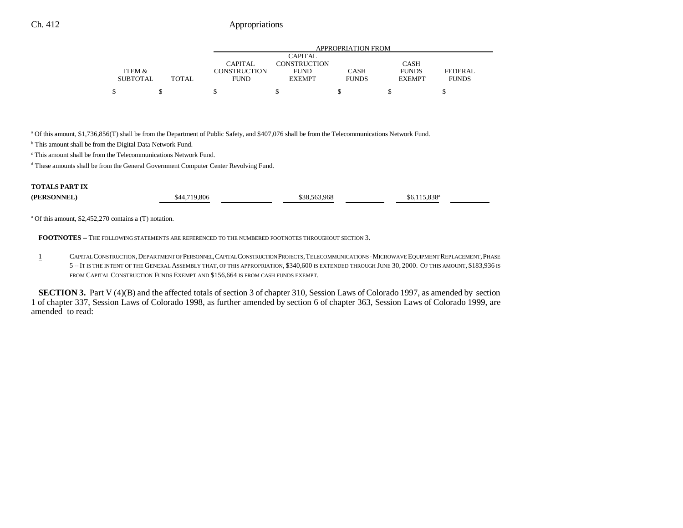|                 |              |                     |                | APPROPRIATION FROM |               |              |
|-----------------|--------------|---------------------|----------------|--------------------|---------------|--------------|
|                 |              |                     | <b>CAPITAL</b> |                    |               |              |
|                 |              | CAPITAL             | CONSTRUCTION   |                    | <b>CASH</b>   |              |
| ITEM &          |              | <b>CONSTRUCTION</b> | <b>FUND</b>    | CASH               | <b>FUNDS</b>  | FEDERAL      |
| <b>SUBTOTAL</b> | <b>TOTAL</b> | <b>FUND</b>         | <b>EXEMPT</b>  | <b>FUNDS</b>       | <b>EXEMPT</b> | <b>FUNDS</b> |
|                 |              |                     |                |                    |               |              |

a Of this amount, \$1,736,856(T) shall be from the Department of Public Safety, and \$407,076 shall be from the Telecommunications Network Fund.

<sup>b</sup> This amount shall be from the Digital Data Network Fund.

c This amount shall be from the Telecommunications Network Fund.

d These amounts shall be from the General Government Computer Center Revolving Fund.

## **TOTALS PART IX**

| (PERSONNEL) | $\degree$ 719.806<br>\$44 | \$38.563.968 | 020a<br>15<br>\$6.115.838 |  |
|-------------|---------------------------|--------------|---------------------------|--|
|             |                           |              |                           |  |

a Of this amount, \$2,452,270 contains a (T) notation.

**FOOTNOTES** -- THE FOLLOWING STATEMENTS ARE REFERENCED TO THE NUMBERED FOOTNOTES THROUGHOUT SECTION 3.

1 CAPITAL CONSTRUCTION,DEPARTMENT OF PERSONNEL,CAPITAL CONSTRUCTION PROJECTS,TELECOMMUNICATIONS -MICROWAVE EQUIPMENT REPLACEMENT,PHASE 5 --IT IS THE INTENT OF THE GENERAL ASSEMBLY THAT, OF THIS APPROPRIATION, \$340,600 IS EXTENDED THROUGH JUNE 30, 2000. OF THIS AMOUNT, \$183,936 IS FROM CAPITAL CONSTRUCTION FUNDS EXEMPT AND \$156,664 IS FROM CASH FUNDS EXEMPT.

**SECTION 3.** Part V (4)(B) and the affected totals of section 3 of chapter 310, Session Laws of Colorado 1997, as amended by section 1 of chapter 337, Session Laws of Colorado 1998, as further amended by section 6 of chapter 363, Session Laws of Colorado 1999, are amended to read: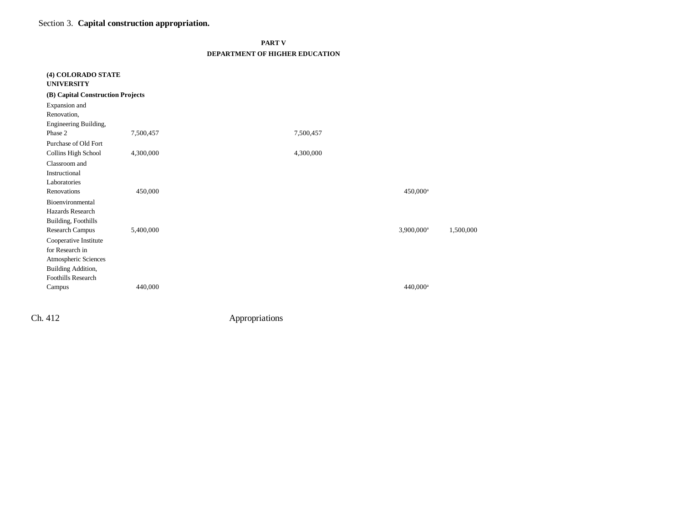Section 3. **Capital construction appropriation.**

| ı<br><br>л |  |
|------------|--|

#### **DEPARTMENT OF HIGHER EDUCATION**

| (4) COLORADO STATE<br><b>UNIVERSITY</b> |           |                        |           |
|-----------------------------------------|-----------|------------------------|-----------|
| (B) Capital Construction Projects       |           |                        |           |
| Expansion and                           |           |                        |           |
| Renovation,                             |           |                        |           |
| Engineering Building,                   |           |                        |           |
| Phase 2                                 | 7,500,457 | 7,500,457              |           |
| Purchase of Old Fort                    |           |                        |           |
| Collins High School                     | 4,300,000 | 4,300,000              |           |
| Classroom and                           |           |                        |           |
| Instructional                           |           |                        |           |
| Laboratories                            |           |                        |           |
| Renovations                             | 450,000   | $450,000$ <sup>a</sup> |           |
| Bioenvironmental                        |           |                        |           |
| Hazards Research                        |           |                        |           |
| Building, Foothills                     |           |                        |           |
| Research Campus                         | 5,400,000 | 3,900,000 <sup>a</sup> | 1,500,000 |
| Cooperative Institute                   |           |                        |           |
| for Research in                         |           |                        |           |
| Atmospheric Sciences                    |           |                        |           |
| Building Addition,                      |           |                        |           |
| <b>Foothills Research</b>               |           |                        |           |
| Campus                                  | 440,000   | 440,000 <sup>a</sup>   |           |
|                                         |           |                        |           |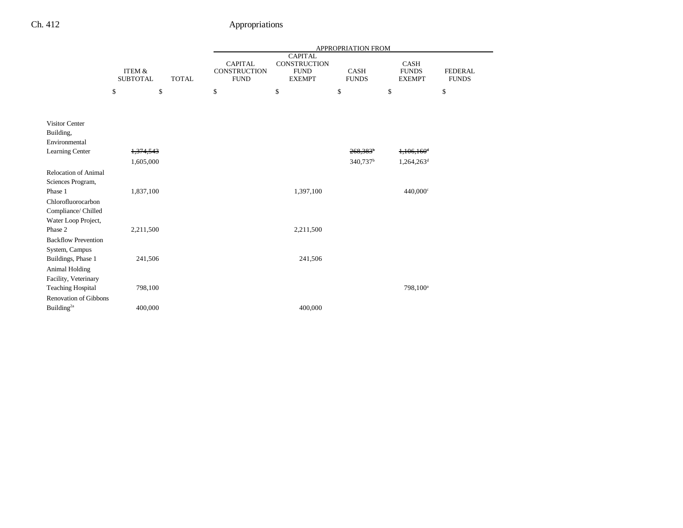|                                                        |                                                      |  |                                               |                                                                | <b>APPROPRIATION FROM</b> |                                       |                                |
|--------------------------------------------------------|------------------------------------------------------|--|-----------------------------------------------|----------------------------------------------------------------|---------------------------|---------------------------------------|--------------------------------|
|                                                        | <b>ITEM &amp;</b><br><b>SUBTOTAL</b><br><b>TOTAL</b> |  | <b>CAPITAL</b><br>CONSTRUCTION<br><b>FUND</b> | <b>CAPITAL</b><br>CONSTRUCTION<br><b>FUND</b><br><b>EXEMPT</b> | CASH<br><b>FUNDS</b>      | CASH<br><b>FUNDS</b><br><b>EXEMPT</b> | <b>FEDERAL</b><br><b>FUNDS</b> |
|                                                        | \$<br>\$                                             |  | \$                                            | \$                                                             | \$                        | \$                                    | \$                             |
|                                                        |                                                      |  |                                               |                                                                |                           |                                       |                                |
| <b>Visitor Center</b><br>Building,<br>Environmental    |                                                      |  |                                               |                                                                |                           |                                       |                                |
| Learning Center                                        | 1,374,543                                            |  |                                               |                                                                | $268,383$ <sup>b</sup>    | $1,106,160$ <sup>d</sup>              |                                |
|                                                        | 1,605,000                                            |  |                                               |                                                                | 340,737 <sup>b</sup>      | 1,264,263 <sup>d</sup>                |                                |
| Relocation of Animal<br>Sciences Program,              |                                                      |  |                                               |                                                                |                           |                                       |                                |
| Phase 1                                                | 1,837,100                                            |  |                                               | 1,397,100                                                      |                           | 440,000°                              |                                |
| Chlorofluorocarbon<br>Compliance/ Chilled              |                                                      |  |                                               |                                                                |                           |                                       |                                |
| Water Loop Project,<br>Phase 2                         | 2,211,500                                            |  |                                               | 2,211,500                                                      |                           |                                       |                                |
| <b>Backflow Prevention</b>                             |                                                      |  |                                               |                                                                |                           |                                       |                                |
| System, Campus<br>Buildings, Phase 1                   | 241,506                                              |  |                                               | 241,506                                                        |                           |                                       |                                |
| Animal Holding<br>Facility, Veterinary                 |                                                      |  |                                               |                                                                |                           |                                       |                                |
| <b>Teaching Hospital</b>                               | 798,100                                              |  |                                               |                                                                |                           | 798,100 <sup>a</sup>                  |                                |
| <b>Renovation of Gibbons</b><br>Building <sup>2a</sup> | 400,000                                              |  |                                               | 400,000                                                        |                           |                                       |                                |
|                                                        |                                                      |  |                                               |                                                                |                           |                                       |                                |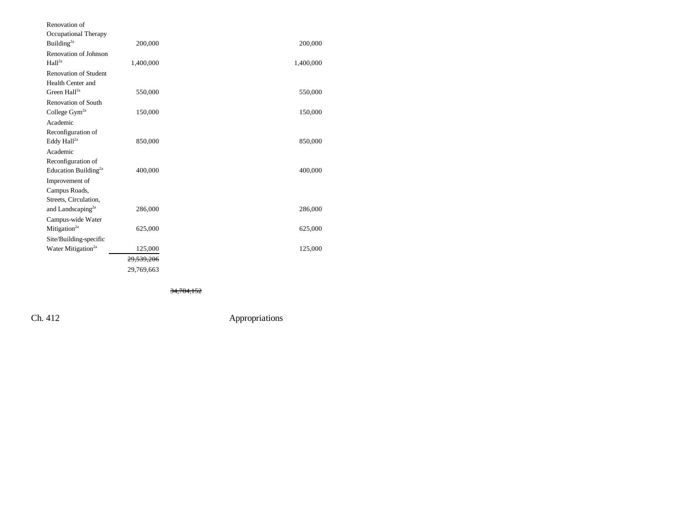| Renovation of                    |            |           |
|----------------------------------|------------|-----------|
| Occupational Therapy             |            |           |
| Building <sup>2a</sup>           | 200,000    | 200,000   |
| Renovation of Johnson            |            |           |
| Hall <sup>2a</sup>               | 1,400,000  | 1,400,000 |
| <b>Renovation of Student</b>     |            |           |
| Health Center and                |            |           |
| Green $Hall2a$                   | 550,000    | 550,000   |
| Renovation of South              |            |           |
| College Gym <sup>2a</sup>        | 150,000    | 150,000   |
| Academic                         |            |           |
| Reconfiguration of               |            |           |
| Eddy Hall <sup>2a</sup>          | 850,000    | 850,000   |
| Academic                         |            |           |
| Reconfiguration of               |            |           |
| Education Building <sup>2a</sup> | 400,000    | 400,000   |
| Improvement of                   |            |           |
| Campus Roads,                    |            |           |
| Streets, Circulation,            |            |           |
| and Landscaping <sup>2a</sup>    | 286,000    | 286,000   |
| Campus-wide Water                |            |           |
| Mitigation <sup>2a</sup>         | 625,000    | 625,000   |
| Site/Building-specific           |            |           |
| Water Mitigation <sup>2a</sup>   | 125,000    | 125,000   |
|                                  | 29,539,206 |           |
|                                  | 29,769,663 |           |
|                                  |            |           |

34,784,152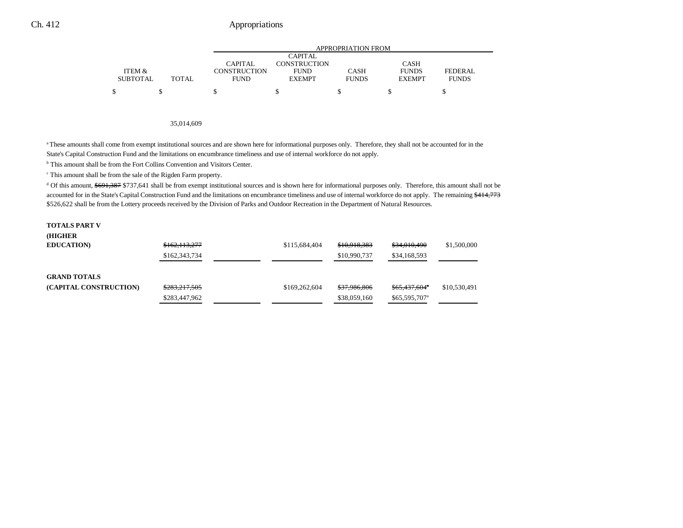|                 |       | APPROPRIATION FROM |                |              |               |                |  |  |
|-----------------|-------|--------------------|----------------|--------------|---------------|----------------|--|--|
|                 |       |                    | <b>CAPITAL</b> |              |               |                |  |  |
|                 |       | CAPITAL            | CONSTRUCTION   |              | <b>CASH</b>   |                |  |  |
| ITEM &          |       | CONSTRUCTION       | <b>FUND</b>    | <b>CASH</b>  | <b>FUNDS</b>  | <b>FEDERAL</b> |  |  |
| <b>SUBTOTAL</b> | TOTAL | <b>FUND</b>        | <b>EXEMPT</b>  | <b>FUNDS</b> | <b>EXEMPT</b> | <b>FUNDS</b>   |  |  |
|                 |       |                    |                |              |               |                |  |  |
|                 |       |                    |                |              |               |                |  |  |

#### 35,014,609

<sup>a</sup> These amounts shall come from exempt institutional sources and are shown here for informational purposes only. Therefore, they shall not be accounted for in the State's Capital Construction Fund and the limitations on encumbrance timeliness and use of internal workforce do not apply.

b This amount shall be from the Fort Collins Convention and Visitors Center.

c This amount shall be from the sale of the Rigden Farm property.

d Of this amount, \$691,387 \$737,641 shall be from exempt institutional sources and is shown here for informational purposes only. Therefore, this amount shall not be accounted for in the State's Capital Construction Fund and the limitations on encumbrance timeliness and use of internal workforce do not apply. The remaining \$414,773 \$526,622 shall be from the Lottery proceeds received by the Division of Parks and Outdoor Recreation in the Department of Natural Resources.

| <b>TOTALS PART V</b>   |               |               |              |                           |              |
|------------------------|---------------|---------------|--------------|---------------------------|--------------|
| (HIGHER                |               |               |              |                           |              |
| <b>EDUCATION)</b>      | \$162,113,277 | \$115,684,404 | \$10,918,383 | \$34,010,490              | \$1,500,000  |
|                        | \$162,343,734 |               | \$10,990,737 | \$34,168,593              |              |
|                        |               |               |              |                           |              |
| <b>GRAND TOTALS</b>    |               |               |              |                           |              |
| (CAPITAL CONSTRUCTION) | \$283,217,505 | \$169,262,604 | \$37,986,806 | \$65,437,604*             | \$10,530,491 |
|                        | \$283,447,962 |               | \$38,059,160 | \$65,595,707 <sup>a</sup> |              |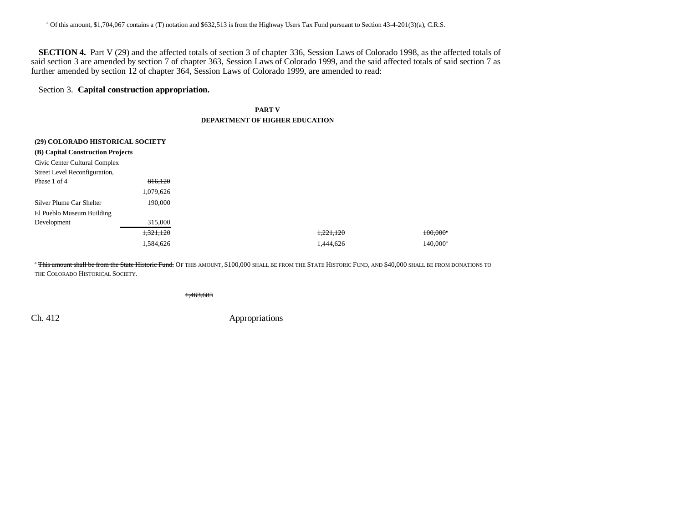**SECTION 4.** Part V (29) and the affected totals of section 3 of chapter 336, Session Laws of Colorado 1998, as the affected totals of said section 3 are amended by section 7 of chapter 363, Session Laws of Colorado 1999, and the said affected totals of said section 7 as further amended by section 12 of chapter 364, Session Laws of Colorado 1999, are amended to read:

## Section 3. **Capital construction appropriation.**

### **PART V DEPARTMENT OF HIGHER EDUCATION**

| (29) COLORADO HISTORICAL SOCIETY  |           |           |                        |
|-----------------------------------|-----------|-----------|------------------------|
| (B) Capital Construction Projects |           |           |                        |
| Civic Center Cultural Complex     |           |           |                        |
| Street Level Reconfiguration,     |           |           |                        |
| Phase 1 of 4                      | 816,120   |           |                        |
|                                   | 1,079,626 |           |                        |
| Silver Plume Car Shelter          | 190,000   |           |                        |
| El Pueblo Museum Building         |           |           |                        |
| Development                       | 315,000   |           |                        |
|                                   | 1,321,120 | 1,221,120 | $100,000$ <sup>*</sup> |
|                                   | 1.584.626 | 1.444.626 | $140.000^a$            |

<sup>a</sup> <del>This amount shall be from the State Historic Fund.</del> Of this amount, \$100,000 shall be from the State Historic Fund, and \$40,000 shall be from donations to THE COLORADO HISTORICAL SOCIETY.

1,463,683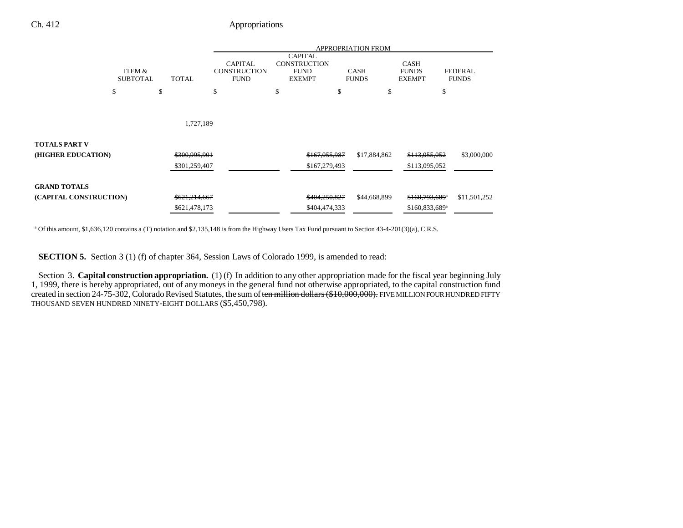|                        |                           |              |                                                      | <b>APPROPRIATION FROM</b> |                                                                       |                             |                                              |                                |
|------------------------|---------------------------|--------------|------------------------------------------------------|---------------------------|-----------------------------------------------------------------------|-----------------------------|----------------------------------------------|--------------------------------|
|                        | ITEM &<br><b>SUBTOTAL</b> | <b>TOTAL</b> | <b>CAPITAL</b><br><b>CONSTRUCTION</b><br><b>FUND</b> |                           | <b>CAPITAL</b><br><b>CONSTRUCTION</b><br><b>FUND</b><br><b>EXEMPT</b> | <b>CASH</b><br><b>FUNDS</b> | <b>CASH</b><br><b>FUNDS</b><br><b>EXEMPT</b> | <b>FEDERAL</b><br><b>FUNDS</b> |
|                        | \$                        | \$           | \$                                                   | \$                        | \$                                                                    | \$                          | \$                                           |                                |
|                        |                           |              |                                                      |                           |                                                                       |                             |                                              |                                |
|                        |                           |              | 1,727,189                                            |                           |                                                                       |                             |                                              |                                |
| TOTALS PART V          |                           |              |                                                      |                           |                                                                       |                             |                                              |                                |
| (HIGHER EDUCATION)     |                           |              | \$300,995,901                                        |                           | \$167,055,987                                                         | \$17,884,862                | \$113,055,052                                | \$3,000,000                    |
|                        |                           |              | \$301,259,407                                        |                           | \$167,279,493                                                         |                             | \$113,095,052                                |                                |
| <b>GRAND TOTALS</b>    |                           |              |                                                      |                           |                                                                       |                             |                                              |                                |
| (CAPITAL CONSTRUCTION) |                           |              | \$621,214,667                                        |                           | \$404,250,827                                                         | \$44,668,899                | $$160,793,689$ <sup>*</sup>                  | \$11,501,252                   |
|                        |                           |              | \$621,478,173                                        |                           | \$404,474,333                                                         |                             | \$160,833,689 <sup>a</sup>                   |                                |

a Of this amount, \$1,636,120 contains a (T) notation and \$2,135,148 is from the Highway Users Tax Fund pursuant to Section 43-4-201(3)(a), C.R.S.

**SECTION 5.** Section 3 (1) (f) of chapter 364, Session Laws of Colorado 1999, is amended to read:

Section 3. **Capital construction appropriation.** (1) (f) In addition to any other appropriation made for the fiscal year beginning July 1, 1999, there is hereby appropriated, out of any moneys in the general fund not otherwise appropriated, to the capital construction fund created in section 24-75-302, Colorado Revised Statutes, the sum of ten million dollars (\$10,000,000). FIVE MILLION FOUR HUNDRED FIFTY THOUSAND SEVEN HUNDRED NINETY-EIGHT DOLLARS (\$5,450,798).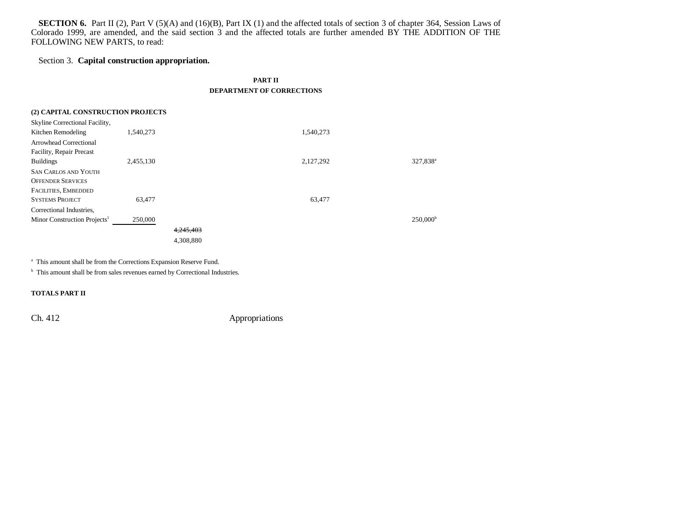**SECTION 6.** Part II (2), Part V (5)(A) and (16)(B), Part IX (1) and the affected totals of section 3 of chapter 364, Session Laws of Colorado 1999, are amended, and the said section 3 and the affected totals are further amended BY THE ADDITION OF THE FOLLOWING NEW PARTS, to read:

## Section 3. **Capital construction appropriation.**

| (2) CAPITAL CONSTRUCTION PROJECTS<br>Skyline Correctional Facility,                                 |           |                        |           |                      |  |  |  |  |  |
|-----------------------------------------------------------------------------------------------------|-----------|------------------------|-----------|----------------------|--|--|--|--|--|
| Kitchen Remodeling                                                                                  | 1,540,273 |                        | 1,540,273 |                      |  |  |  |  |  |
| <b>Arrowhead Correctional</b><br>Facility, Repair Precast                                           |           |                        |           |                      |  |  |  |  |  |
| <b>Buildings</b><br><b>SAN CARLOS AND YOUTH</b><br><b>OFFENDER SERVICES</b><br>FACILITIES, EMBEDDED | 2,455,130 |                        | 2,127,292 | 327,838 <sup>a</sup> |  |  |  |  |  |
| <b>SYSTEMS PROJECT</b><br>Correctional Industries,                                                  | 63,477    |                        | 63,477    |                      |  |  |  |  |  |
| Minor Construction Projects <sup>1</sup>                                                            | 250,000   | 4,245,403<br>4,308,880 |           | 250,000 <sup>b</sup> |  |  |  |  |  |

<sup>a</sup> This amount shall be from the Corrections Expansion Reserve Fund.

<sup>b</sup> This amount shall be from sales revenues earned by Correctional Industries.

**TOTALS PART II**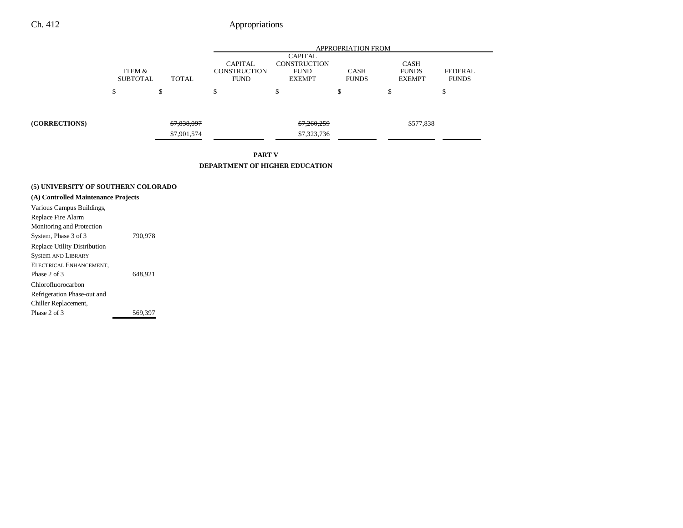|                                                 |                           |                            | <b>APPROPRIATION FROM</b>                            |                                                                       |                             |                                              |                                |
|-------------------------------------------------|---------------------------|----------------------------|------------------------------------------------------|-----------------------------------------------------------------------|-----------------------------|----------------------------------------------|--------------------------------|
|                                                 | ITEM &<br><b>SUBTOTAL</b> | <b>TOTAL</b>               | <b>CAPITAL</b><br><b>CONSTRUCTION</b><br><b>FUND</b> | <b>CAPITAL</b><br><b>CONSTRUCTION</b><br><b>FUND</b><br><b>EXEMPT</b> | <b>CASH</b><br><b>FUNDS</b> | <b>CASH</b><br><b>FUNDS</b><br><b>EXEMPT</b> | <b>FEDERAL</b><br><b>FUNDS</b> |
|                                                 | \$                        | \$                         | \$                                                   | ¢<br>э                                                                | \$                          | \$                                           | ¢<br>ъ                         |
| (CORRECTIONS)                                   |                           | \$7,838,097<br>\$7,901,574 |                                                      | \$7,260,259<br>\$7,323,736                                            |                             | \$577,838                                    |                                |
| <b>PART V</b><br>DEPARTMENT OF HIGHER EDUCATION |                           |                            |                                                      |                                                                       |                             |                                              |                                |
|                                                 |                           |                            |                                                      |                                                                       |                             |                                              |                                |

# **(5) UNIVERSITY OF SOUTHERN COLORADO**

| (A) Controlled Maintenance Projects |         |  |  |  |  |  |
|-------------------------------------|---------|--|--|--|--|--|
| Various Campus Buildings,           |         |  |  |  |  |  |
| Replace Fire Alarm                  |         |  |  |  |  |  |
| Monitoring and Protection           |         |  |  |  |  |  |
| System, Phase 3 of 3                | 790,978 |  |  |  |  |  |
| <b>Replace Utility Distribution</b> |         |  |  |  |  |  |
| <b>System AND LIBRARY</b>           |         |  |  |  |  |  |
| ELECTRICAL ENHANCEMENT,             |         |  |  |  |  |  |
| Phase 2 of 3                        | 648.921 |  |  |  |  |  |
| Chlorofluorocarbon                  |         |  |  |  |  |  |
| Refrigeration Phase-out and         |         |  |  |  |  |  |
| Chiller Replacement,                |         |  |  |  |  |  |
| Phase 2 of 3                        | 569.397 |  |  |  |  |  |
|                                     |         |  |  |  |  |  |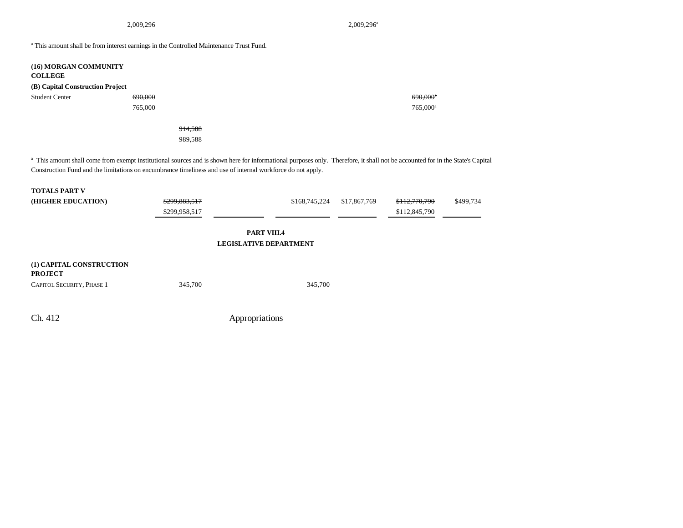2,009,296<sup>a</sup> 2,009,296<sup>a</sup>

<sup>a</sup> This amount shall be from interest earnings in the Controlled Maintenance Trust Fund.

| (16) MORGAN COMMUNITY<br><b>COLLEGE</b><br>(B) Capital Construction Project |         |                      |
|-----------------------------------------------------------------------------|---------|----------------------|
| <b>Student Center</b>                                                       | 690,000 | $690,000^a$          |
|                                                                             | 765,000 | 765,000 <sup>a</sup> |
|                                                                             |         |                      |
|                                                                             | 914,588 |                      |
|                                                                             | 989,588 |                      |
|                                                                             |         |                      |

<sup>a</sup> This amount shall come from exempt institutional sources and is shown here for informational purposes only. Therefore, it shall not be accounted for in the State's Capital Construction Fund and the limitations on encumbrance timeliness and use of internal workforce do not apply.

| <b>TOTALS PART V</b><br>(HIGHER EDUCATION)                                     | \$299,883,517<br>\$299,958,517 | \$168,745,224                                       | \$17,867,769 | \$112,770,790<br>\$112,845,790 | \$499,734 |
|--------------------------------------------------------------------------------|--------------------------------|-----------------------------------------------------|--------------|--------------------------------|-----------|
|                                                                                |                                | <b>PART VIII.4</b><br><b>LEGISLATIVE DEPARTMENT</b> |              |                                |           |
| (1) CAPITAL CONSTRUCTION<br><b>PROJECT</b><br><b>CAPITOL SECURITY, PHASE 1</b> | 345,700                        | 345,700                                             |              |                                |           |
|                                                                                |                                |                                                     |              |                                |           |
| Ch. 412                                                                        |                                | Appropriations                                      |              |                                |           |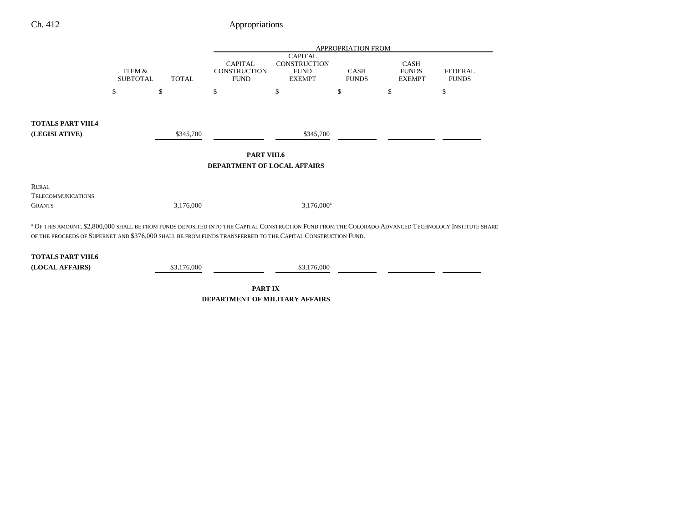|                                                                                                                                                                                                                                                                                |                                      |              | <b>APPROPRIATION FROM</b>                            |                                                                       |                             |                                              |                                |  |  |
|--------------------------------------------------------------------------------------------------------------------------------------------------------------------------------------------------------------------------------------------------------------------------------|--------------------------------------|--------------|------------------------------------------------------|-----------------------------------------------------------------------|-----------------------------|----------------------------------------------|--------------------------------|--|--|
|                                                                                                                                                                                                                                                                                | <b>ITEM &amp;</b><br><b>SUBTOTAL</b> | <b>TOTAL</b> | <b>CAPITAL</b><br><b>CONSTRUCTION</b><br><b>FUND</b> | <b>CAPITAL</b><br><b>CONSTRUCTION</b><br><b>FUND</b><br><b>EXEMPT</b> | <b>CASH</b><br><b>FUNDS</b> | <b>CASH</b><br><b>FUNDS</b><br><b>EXEMPT</b> | <b>FEDERAL</b><br><b>FUNDS</b> |  |  |
|                                                                                                                                                                                                                                                                                | \$                                   | \$           | \$                                                   | \$                                                                    | \$                          | \$                                           | \$                             |  |  |
|                                                                                                                                                                                                                                                                                |                                      |              |                                                      |                                                                       |                             |                                              |                                |  |  |
| <b>TOTALS PART VIII.4</b>                                                                                                                                                                                                                                                      |                                      |              |                                                      |                                                                       |                             |                                              |                                |  |  |
| (LEGISLATIVE)                                                                                                                                                                                                                                                                  |                                      | \$345,700    |                                                      | \$345,700                                                             |                             |                                              |                                |  |  |
|                                                                                                                                                                                                                                                                                |                                      |              |                                                      |                                                                       |                             |                                              |                                |  |  |
| <b>PART VIII.6</b><br><b>DEPARTMENT OF LOCAL AFFAIRS</b>                                                                                                                                                                                                                       |                                      |              |                                                      |                                                                       |                             |                                              |                                |  |  |
|                                                                                                                                                                                                                                                                                |                                      |              |                                                      |                                                                       |                             |                                              |                                |  |  |
| <b>RURAL</b>                                                                                                                                                                                                                                                                   |                                      |              |                                                      |                                                                       |                             |                                              |                                |  |  |
| <b>TELECOMMUNICATIONS</b>                                                                                                                                                                                                                                                      |                                      |              |                                                      |                                                                       |                             |                                              |                                |  |  |
| <b>GRANTS</b>                                                                                                                                                                                                                                                                  |                                      | 3,176,000    |                                                      | $3,176,000^a$                                                         |                             |                                              |                                |  |  |
| <sup>a</sup> OF THIS AMOUNT, \$2,800,000 SHALL BE FROM FUNDS DEPOSITED INTO THE CAPITAL CONSTRUCTION FUND FROM THE COLORADO ADVANCED TECHNOLOGY INSTITUTE SHARE<br>OF THE PROCEEDS OF SUPERNET AND \$376,000 SHALL BE FROM FUNDS TRANSFERRED TO THE CAPITAL CONSTRUCTION FUND. |                                      |              |                                                      |                                                                       |                             |                                              |                                |  |  |
| <b>TOTALS PART VIII.6</b>                                                                                                                                                                                                                                                      |                                      |              |                                                      |                                                                       |                             |                                              |                                |  |  |
| (LOCAL AFFAIRS)                                                                                                                                                                                                                                                                |                                      | \$3,176,000  |                                                      | \$3,176,000                                                           |                             |                                              |                                |  |  |

**PART IX DEPARTMENT OF MILITARY AFFAIRS**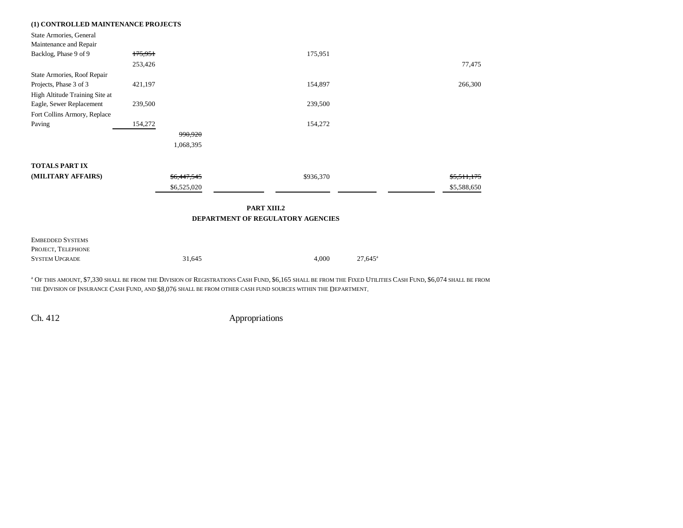| (1) CONTROLLED MAINTENANCE PROJECTS |             |                                   |                  |
|-------------------------------------|-------------|-----------------------------------|------------------|
| State Armories, General             |             |                                   |                  |
| Maintenance and Repair              |             |                                   |                  |
| Backlog, Phase 9 of 9               | 175,951     | 175,951                           |                  |
|                                     | 253,426     |                                   | 77,475           |
| State Armories, Roof Repair         |             |                                   |                  |
| Projects, Phase 3 of 3              | 421,197     | 154,897                           | 266,300          |
| High Altitude Training Site at      |             |                                   |                  |
| Eagle, Sewer Replacement            | 239,500     | 239,500                           |                  |
| Fort Collins Armory, Replace        |             |                                   |                  |
| Paving                              | 154,272     | 154,272                           |                  |
|                                     | 990,920     |                                   |                  |
|                                     | 1,068,395   |                                   |                  |
| <b>TOTALS PART IX</b>               |             |                                   |                  |
| (MILITARY AFFAIRS)                  | \$6,447,545 | \$936,370                         | \$5,511,175      |
|                                     | \$6,525,020 |                                   | \$5,588,650      |
|                                     |             |                                   |                  |
|                                     |             | PART XIII.2                       |                  |
|                                     |             | DEPARTMENT OF REGULATORY AGENCIES |                  |
|                                     |             |                                   |                  |
| <b>EMBEDDED SYSTEMS</b>             |             |                                   |                  |
| PROJECT, TELEPHONE                  |             |                                   |                  |
| <b>SYSTEM UPGRADE</b>               | 31,645      | 4,000                             | $27,645^{\circ}$ |
|                                     |             |                                   |                  |

<sup>a</sup> Of this amount, \$7,330 shall be from the Division of Registrations Cash Fund, \$6,165 shall be from the Fixed Utilities Cash Fund, \$6,074 shall be from THE DIVISION OF INSURANCE CASH FUND, AND \$8,076 SHALL BE FROM OTHER CASH FUND SOURCES WITHIN THE DEPARTMENT.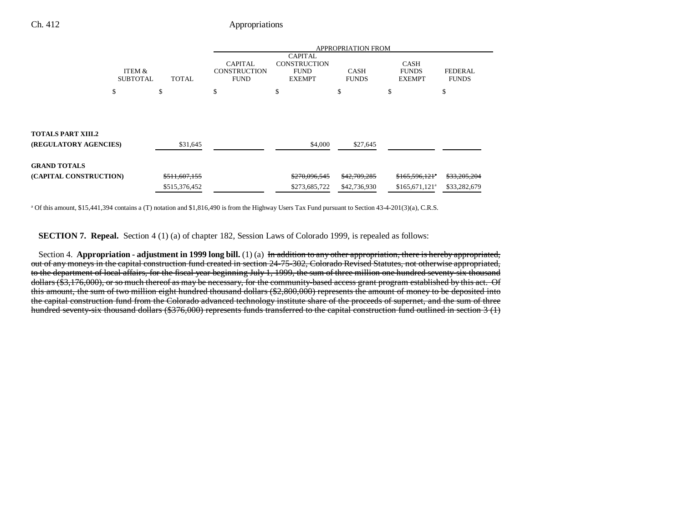|                           |               | <b>APPROPRIATION FROM</b>                            |                                                                       |                             |                                              |                                |
|---------------------------|---------------|------------------------------------------------------|-----------------------------------------------------------------------|-----------------------------|----------------------------------------------|--------------------------------|
| ITEM &<br><b>SUBTOTAL</b> | <b>TOTAL</b>  | <b>CAPITAL</b><br><b>CONSTRUCTION</b><br><b>FUND</b> | <b>CAPITAL</b><br><b>CONSTRUCTION</b><br><b>FUND</b><br><b>EXEMPT</b> | <b>CASH</b><br><b>FUNDS</b> | <b>CASH</b><br><b>FUNDS</b><br><b>EXEMPT</b> | <b>FEDERAL</b><br><b>FUNDS</b> |
| \$                        | \$            | \$.                                                  | \$.                                                                   | \$                          | \$                                           | \$                             |
|                           |               |                                                      |                                                                       |                             |                                              |                                |
| <b>TOTALS PART XIII.2</b> |               |                                                      |                                                                       |                             |                                              |                                |
| (REGULATORY AGENCIES)     | \$31,645      |                                                      | \$4,000                                                               | \$27,645                    |                                              |                                |
| <b>GRAND TOTALS</b>       |               |                                                      |                                                                       |                             |                                              |                                |
| (CAPITAL CONSTRUCTION)    | \$511,607,155 |                                                      | \$270,096,545                                                         | \$42,709,285                | \$165,596,121*                               | \$33,205,204                   |
|                           | \$515,376,452 |                                                      | \$273,685,722                                                         | \$42,736,930                | $$165,671,121$ <sup>a</sup>                  | \$33,282,679                   |

a Of this amount, \$15,441,394 contains a (T) notation and \$1,816,490 is from the Highway Users Tax Fund pursuant to Section 43-4-201(3)(a), C.R.S.

**SECTION 7. Repeal.** Section 4 (1) (a) of chapter 182, Session Laws of Colorado 1999, is repealed as follows:

Section 4. **Appropriation - adjustment in 1999 long bill.** (1) (a) In addition to any other appropriation, there is hereby appropriated, out of any moneys in the capital construction fund created in section 24-75-302, Colorado Revised Statutes, not otherwise appropriated, to the department of local affairs, for the fiscal year beginning July 1, 1999, the sum of three million one hundred seventy-six thousand dollars (\$3,176,000), or so much thereof as may be necessary, for the community-based access grant program established by this act. Of this amount, the sum of two million eight hundred thousand dollars (\$2,800,000) represents the amount of money to be deposited into the capital construction fund from the Colorado advanced technology institute share of the proceeds of supernet, and the sum of three hundred seventy-six thousand dollars (\$376,000) represents funds transferred to the capital construction fund outlined in section 3 (1)